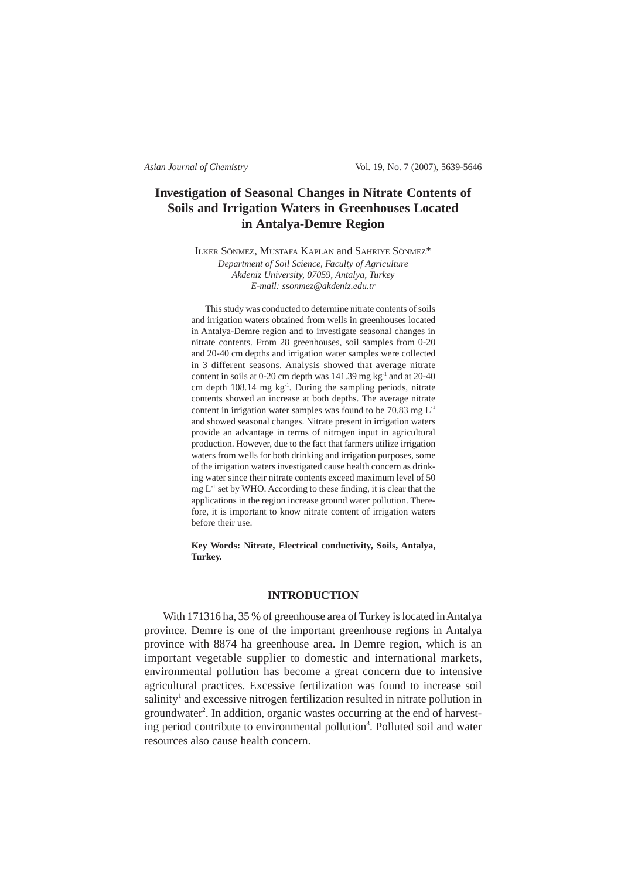*Asian Journal of Chemistry* Vol. 19, No. 7 (2007), 5639-5646

# **Investigation of Seasonal Changes in Nitrate Contents of Soils and Irrigation Waters in Greenhouses Located in Antalya-Demre Region**

ILKER SÖNMEZ, MUSTAFA KAPLAN and SAHRIYE SÖNMEZ\* *Department of Soil Science, Faculty of Agriculture Akdeniz University, 07059, Antalya, Turkey E-mail: ssonmez@akdeniz.edu.tr*

This study was conducted to determine nitrate contents of soils and irrigation waters obtained from wells in greenhouses located in Antalya-Demre region and to investigate seasonal changes in nitrate contents. From 28 greenhouses, soil samples from 0-20 and 20-40 cm depths and irrigation water samples were collected in 3 different seasons. Analysis showed that average nitrate content in soils at 0-20 cm depth was 141.39 mg kg<sup>-1</sup> and at 20-40 cm depth 108.14 mg kg-1. During the sampling periods, nitrate contents showed an increase at both depths. The average nitrate content in irrigation water samples was found to be 70.83 mg  $L^{-1}$ and showed seasonal changes. Nitrate present in irrigation waters provide an advantage in terms of nitrogen input in agricultural production. However, due to the fact that farmers utilize irrigation waters from wells for both drinking and irrigation purposes, some of the irrigation waters investigated cause health concern as drinking water since their nitrate contents exceed maximum level of 50  $mg L<sup>-1</sup>$  set by WHO. According to these finding, it is clear that the applications in the region increase ground water pollution. Therefore, it is important to know nitrate content of irrigation waters before their use.

**Key Words: Nitrate, Electrical conductivity, Soils, Antalya, Turkey.**

## **INTRODUCTION**

With 171316 ha, 35 % of greenhouse area of Turkey is located in Antalya province. Demre is one of the important greenhouse regions in Antalya province with 8874 ha greenhouse area. In Demre region, which is an important vegetable supplier to domestic and international markets, environmental pollution has become a great concern due to intensive agricultural practices. Excessive fertilization was found to increase soil salinity<sup>1</sup> and excessive nitrogen fertilization resulted in nitrate pollution in groundwater<sup>2</sup>. In addition, organic wastes occurring at the end of harvesting period contribute to environmental pollution<sup>3</sup>. Polluted soil and water resources also cause health concern.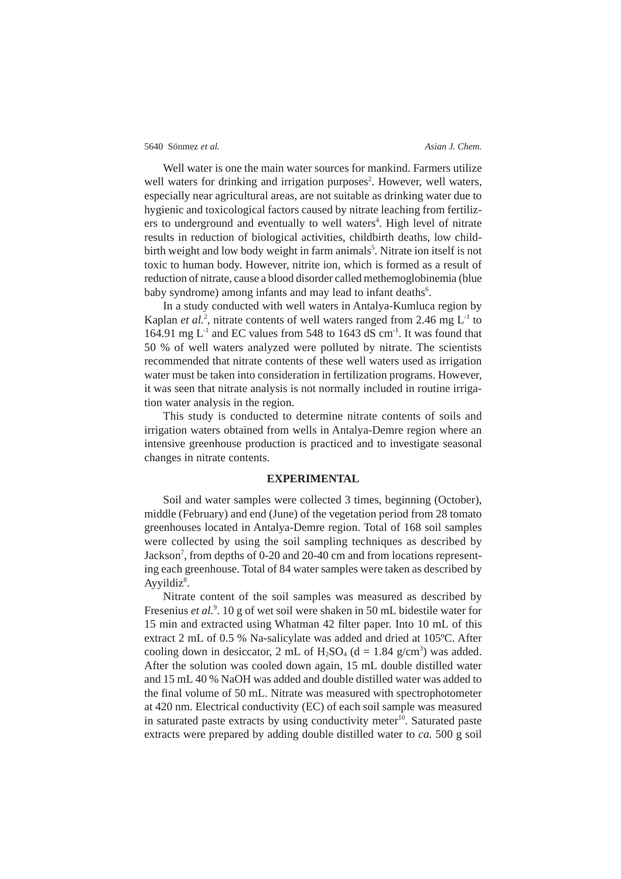Well water is one the main water sources for mankind. Farmers utilize well waters for drinking and irrigation purposes<sup>2</sup>. However, well waters, especially near agricultural areas, are not suitable as drinking water due to hygienic and toxicological factors caused by nitrate leaching from fertilizers to underground and eventually to well waters<sup>4</sup>. High level of nitrate results in reduction of biological activities, childbirth deaths, low childbirth weight and low body weight in farm animals<sup>5</sup>. Nitrate ion itself is not toxic to human body. However, nitrite ion, which is formed as a result of reduction of nitrate, cause a blood disorder called methemoglobinemia (blue baby syndrome) among infants and may lead to infant deaths<sup>6</sup>.

In a study conducted with well waters in Antalya-Kumluca region by Kaplan *et al.*<sup>2</sup>, nitrate contents of well waters ranged from 2.46 mg  $L^{-1}$  to 164.91 mg  $L^{-1}$  and EC values from 548 to 1643 dS cm<sup>-1</sup>. It was found that 50 % of well waters analyzed were polluted by nitrate. The scientists recommended that nitrate contents of these well waters used as irrigation water must be taken into consideration in fertilization programs. However, it was seen that nitrate analysis is not normally included in routine irrigation water analysis in the region.

This study is conducted to determine nitrate contents of soils and irrigation waters obtained from wells in Antalya-Demre region where an intensive greenhouse production is practiced and to investigate seasonal changes in nitrate contents.

### **EXPERIMENTAL**

Soil and water samples were collected 3 times, beginning (October), middle (February) and end (June) of the vegetation period from 28 tomato greenhouses located in Antalya-Demre region. Total of 168 soil samples were collected by using the soil sampling techniques as described by Jackson<sup>7</sup>, from depths of 0-20 and 20-40 cm and from locations representing each greenhouse. Total of 84 water samples were taken as described by Ayyildi $z^8$ .

Nitrate content of the soil samples was measured as described by Fresenius et al.<sup>9</sup>. 10 g of wet soil were shaken in 50 mL bidestile water for 15 min and extracted using Whatman 42 filter paper. Into 10 mL of this extract 2 mL of 0.5 % Na-salicylate was added and dried at 105ºC. After cooling down in desiccator, 2 mL of  $H_2SO_4$  (d = 1.84 g/cm<sup>3</sup>) was added. After the solution was cooled down again, 15 mL double distilled water and 15 mL 40 % NaOH was added and double distilled water was added to the final volume of 50 mL. Nitrate was measured with spectrophotometer at 420 nm. Electrical conductivity (EC) of each soil sample was measured in saturated paste extracts by using conductivity meter<sup>10</sup>. Saturated paste extracts were prepared by adding double distilled water to *ca.* 500 g soil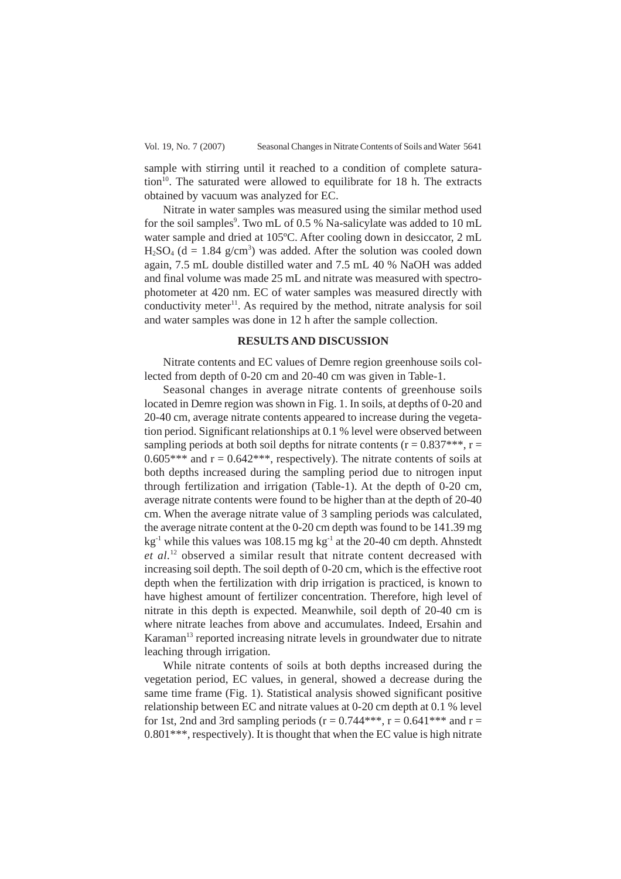Vol. 19, No. 7 (2007) Seasonal Changes in Nitrate Contents of Soils and Water 5641

sample with stirring until it reached to a condition of complete satura- $\frac{10}{10}$ . The saturated were allowed to equilibrate for 18 h. The extracts obtained by vacuum was analyzed for EC.

Nitrate in water samples was measured using the similar method used for the soil samples<sup>9</sup>. Two mL of 0.5 % Na-salicylate was added to 10 mL water sample and dried at 105ºC. After cooling down in desiccator, 2 mL  $H<sub>2</sub>SO<sub>4</sub>$  (d = 1.84 g/cm<sup>3</sup>) was added. After the solution was cooled down again, 7.5 mL double distilled water and 7.5 mL 40 % NaOH was added and final volume was made 25 mL and nitrate was measured with spectrophotometer at 420 nm. EC of water samples was measured directly with conductivity meter<sup>11</sup>. As required by the method, nitrate analysis for soil and water samples was done in 12 h after the sample collection.

## **RESULTS AND DISCUSSION**

Nitrate contents and EC values of Demre region greenhouse soils collected from depth of 0-20 cm and 20-40 cm was given in Table-1.

Seasonal changes in average nitrate contents of greenhouse soils located in Demre region was shown in Fig. 1. In soils, at depths of 0-20 and 20-40 cm, average nitrate contents appeared to increase during the vegetation period. Significant relationships at 0.1 % level were observed between sampling periods at both soil depths for nitrate contents ( $r = 0.837***$ ,  $r =$  $0.605***$  and  $r = 0.642***$ , respectively). The nitrate contents of soils at both depths increased during the sampling period due to nitrogen input through fertilization and irrigation (Table-1). At the depth of 0-20 cm, average nitrate contents were found to be higher than at the depth of 20-40 cm. When the average nitrate value of 3 sampling periods was calculated, the average nitrate content at the 0-20 cm depth was found to be 141.39 mg  $kg<sup>-1</sup>$  while this values was 108.15 mg kg<sup>-1</sup> at the 20-40 cm depth. Ahnstedt *et al.*12 observed a similar result that nitrate content decreased with increasing soil depth. The soil depth of 0-20 cm, which is the effective root depth when the fertilization with drip irrigation is practiced, is known to have highest amount of fertilizer concentration. Therefore, high level of nitrate in this depth is expected. Meanwhile, soil depth of 20-40 cm is where nitrate leaches from above and accumulates. Indeed, Ersahin and Karaman<sup>13</sup> reported increasing nitrate levels in groundwater due to nitrate leaching through irrigation.

While nitrate contents of soils at both depths increased during the vegetation period, EC values, in general, showed a decrease during the same time frame (Fig. 1). Statistical analysis showed significant positive relationship between EC and nitrate values at 0-20 cm depth at 0.1 % level for 1st, 2nd and 3rd sampling periods ( $r = 0.744***$ ,  $r = 0.641***$  and  $r =$  $0.801***$ , respectively). It is thought that when the EC value is high nitrate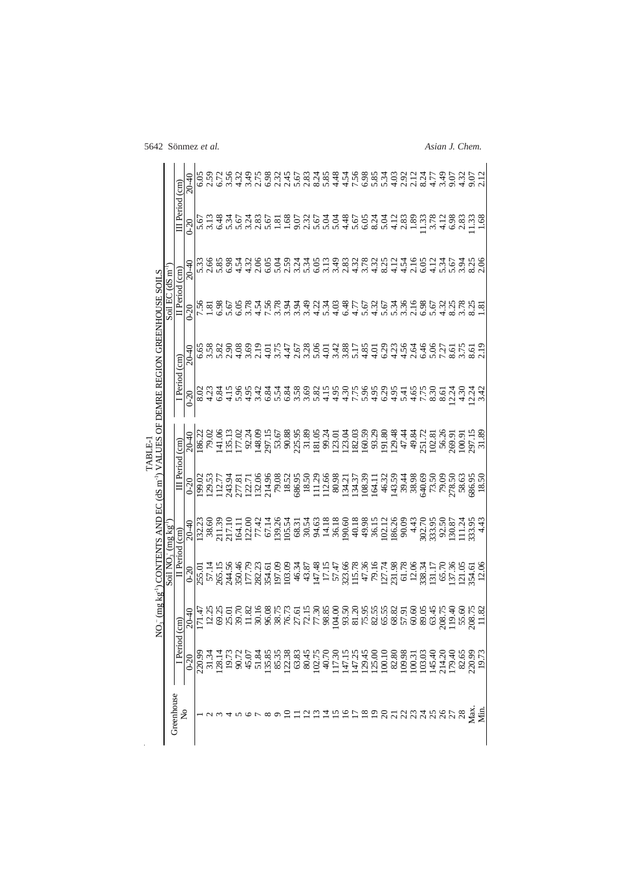|                                                                                                                                |                              |                           | $20 - 40$ |                                     |                | 756347682<br>656347682                                          |      |                                                                |                     |      |                  | 2.45 | 5.67  |       |            |  |                 |                                                                                                                                                                                                                                                                                                               |      |      |      |  |  |  |                                                                    |  |
|--------------------------------------------------------------------------------------------------------------------------------|------------------------------|---------------------------|-----------|-------------------------------------|----------------|-----------------------------------------------------------------|------|----------------------------------------------------------------|---------------------|------|------------------|------|-------|-------|------------|--|-----------------|---------------------------------------------------------------------------------------------------------------------------------------------------------------------------------------------------------------------------------------------------------------------------------------------------------------|------|------|------|--|--|--|--------------------------------------------------------------------|--|
| $O_5^-$ (mg kg <sup>-1</sup> ) CONTENTS AND EC (dS m <sup>-1</sup> ) VALUES OF DEMRE REGION GREENHOUSE SOILS<br><b>LABLE-1</b> |                              | III Period (cm)           | $0 - 20$  | 5.67                                |                | 6.48                                                            |      | 35<br>263                                                      | 2.83                | 5.67 | $\frac{8}{1.68}$ |      | 9.07  | 2.32  | 533<br>535 |  | $4.68$<br>4.6.8 |                                                                                                                                                                                                                                                                                                               | 8.24 | 5.04 | 4.12 |  |  |  |                                                                    |  |
|                                                                                                                                | Soil EC $dS \text{ m}$       |                           | $20 - 40$ |                                     |                | ត ២ ២ ១ ១ ។ ។ ២ ១<br>ពី ២ ១ ១ ១ ។ ។ ២ ១ ೦<br>ពី ២ ១ ១ ។ ។ ២ ១ ១ |      |                                                                |                     |      |                  |      |       |       |            |  |                 |                                                                                                                                                                                                                                                                                                               |      |      |      |  |  |  |                                                                    |  |
|                                                                                                                                |                              | II Period (cm)            | $0 - 20$  | 7.56                                | $\overline{8}$ | 6.98                                                            |      | 5.98                                                           | $4.5884$<br>$7.583$ |      |                  |      | 3.94  | 3.49  |            |  |                 | 1369 1569 6369 6960 6969 696<br>1569 1569 6960 6960 696                                                                                                                                                                                                                                                       |      |      |      |  |  |  |                                                                    |  |
|                                                                                                                                |                              | $\widehat{\text{cm}}$     | $20 - 40$ |                                     |                |                                                                 |      |                                                                |                     |      |                  |      |       |       |            |  |                 |                                                                                                                                                                                                                                                                                                               |      |      |      |  |  |  |                                                                    |  |
|                                                                                                                                |                              | I Period                  | $0 - 20$  | 8.02<br>4.23                        |                | 6.84                                                            | 4.15 | 883<br>533                                                     |                     | 6.84 | 5.54             | 6.84 |       |       |            |  |                 | s variacis varias<br>S variacis varias                                                                                                                                                                                                                                                                        |      |      |      |  |  |  | 1652019121<br>1652019121                                           |  |
|                                                                                                                                |                              | $\binom{1}{2}$            | 20-40     | 86.22<br>79.02<br>141.06            |                |                                                                 |      | 13.13<br>17.02<br>17.03.35<br>25,15<br>58.88<br>58.13<br>51.13 |                     |      |                  |      |       |       | 181.05     |  |                 | $\begin{array}{l} 3.71 \\ 9.71 \\ 2.71 \\ 3.71 \\ 3.81 \\ 4.71 \\ 5.81 \\ 6.93 \\ 7.81 \\ 8.81 \\ 9.81 \\ 1.21 \\ 1.21 \\ 1.22 \\ 1.23 \\ 1.24 \\ 1.24 \\ 1.25 \\ 1.25 \\ 1.27 \\ 1.27 \\ 1.28 \\ 1.29 \\ 1.29 \\ 1.21 \\ 1.23 \\ 1.24 \\ 1.25 \\ 1.27 \\ 1.28 \\ 1.29 \\ 1.29 \\ 1.29 \\ 1.23 \\ 1.25 \\ 1.$ |      |      |      |  |  |  | 49.84<br>251.72<br>26.26<br>56.269.91<br>297.15<br>297.15<br>31.89 |  |
|                                                                                                                                |                              | III Period                | $0 - 20$  | 199.02                              | 129.53         |                                                                 |      |                                                                |                     |      |                  |      |       |       |            |  |                 | 13211322 - 80.1083115311634869666666<br>13221146868111684484458866666888<br>1322112- 80.1118711871456866668                                                                                                                                                                                                   |      |      |      |  |  |  |                                                                    |  |
|                                                                                                                                | Soil NO <sub>3</sub> (mg kg) |                           | $20 - 40$ | 132.23<br>38.60<br>211.39           |                |                                                                 |      | 217.10<br>164.11<br>164.11<br>167.14                           |                     |      | 139.34<br>105.54 |      | 68.31 | 30.54 |            |  |                 |                                                                                                                                                                                                                                                                                                               |      |      |      |  |  |  |                                                                    |  |
|                                                                                                                                |                              | II Period (cm)            | $0 - 20$  | 255.01<br>57.14<br>265.15<br>244.56 |                |                                                                 |      | 350.46<br>177.79<br>282.23<br>197.09<br>197.09                 |                     |      |                  |      | 46.34 | 43.87 |            |  |                 |                                                                                                                                                                                                                                                                                                               |      |      |      |  |  |  |                                                                    |  |
|                                                                                                                                |                              | $\widehat{E}$             | $20 - 40$ |                                     |                |                                                                 |      |                                                                |                     |      |                  |      |       |       |            |  |                 |                                                                                                                                                                                                                                                                                                               |      |      |      |  |  |  |                                                                    |  |
|                                                                                                                                |                              | I Period                  | $0 - 20$  |                                     |                |                                                                 |      |                                                                |                     |      |                  |      |       |       |            |  |                 |                                                                                                                                                                                                                                                                                                               |      |      |      |  |  |  |                                                                    |  |
|                                                                                                                                | Greenhouse                   | $\mathsf{S}^{\mathsf{O}}$ |           |                                     |                |                                                                 |      |                                                                |                     |      |                  |      |       |       |            |  |                 | nnanghanggang ang anggang                                                                                                                                                                                                                                                                                     |      |      |      |  |  |  |                                                                    |  |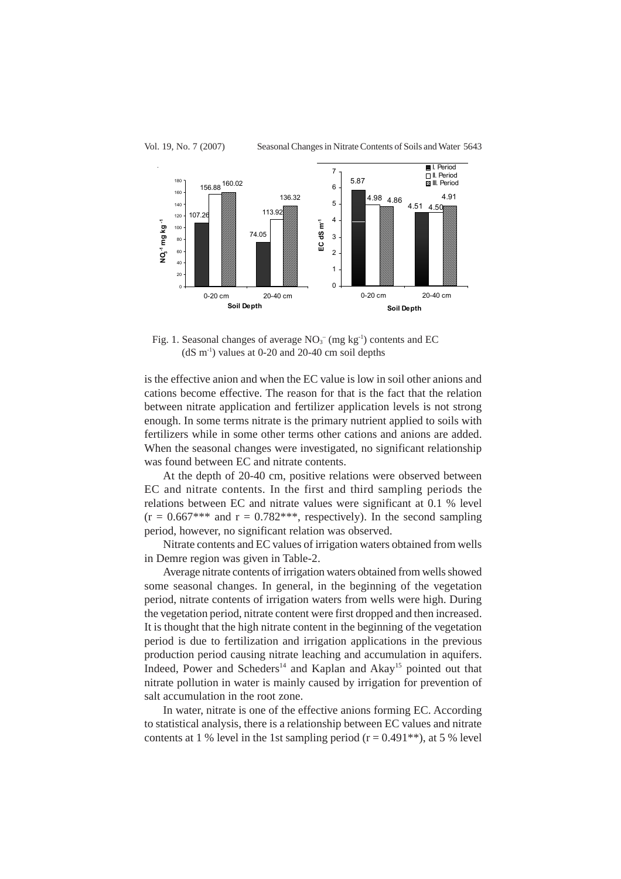

Fig. 1. Seasonal changes of average  $NO<sub>3</sub><sup>-</sup>$  (mg kg<sup>-1</sup>) contents and EC  $(dS m<sup>-1</sup>)$  values at 0-20 and 20-40 cm soil depths

is the effective anion and when the EC value is low in soil other anions and cations become effective. The reason for that is the fact that the relation between nitrate application and fertilizer application levels is not strong enough. In some terms nitrate is the primary nutrient applied to soils with fertilizers while in some other terms other cations and anions are added. When the seasonal changes were investigated, no significant relationship was found between EC and nitrate contents.

At the depth of 20-40 cm, positive relations were observed between EC and nitrate contents. In the first and third sampling periods the relations between EC and nitrate values were significant at 0.1 % level  $(r = 0.667***$  and  $r = 0.782***$ , respectively). In the second sampling period, however, no significant relation was observed.

Nitrate contents and EC values of irrigation waters obtained from wells in Demre region was given in Table-2.

Average nitrate contents of irrigation waters obtained from wells showed some seasonal changes. In general, in the beginning of the vegetation period, nitrate contents of irrigation waters from wells were high. During the vegetation period, nitrate content were first dropped and then increased. It is thought that the high nitrate content in the beginning of the vegetation period is due to fertilization and irrigation applications in the previous production period causing nitrate leaching and accumulation in aquifers. Indeed, Power and Scheders<sup>14</sup> and Kaplan and Akay<sup>15</sup> pointed out that nitrate pollution in water is mainly caused by irrigation for prevention of salt accumulation in the root zone.

In water, nitrate is one of the effective anions forming EC. According to statistical analysis, there is a relationship between EC values and nitrate contents at 1 % level in the 1st sampling period  $(r = 0.491^{**})$ , at 5 % level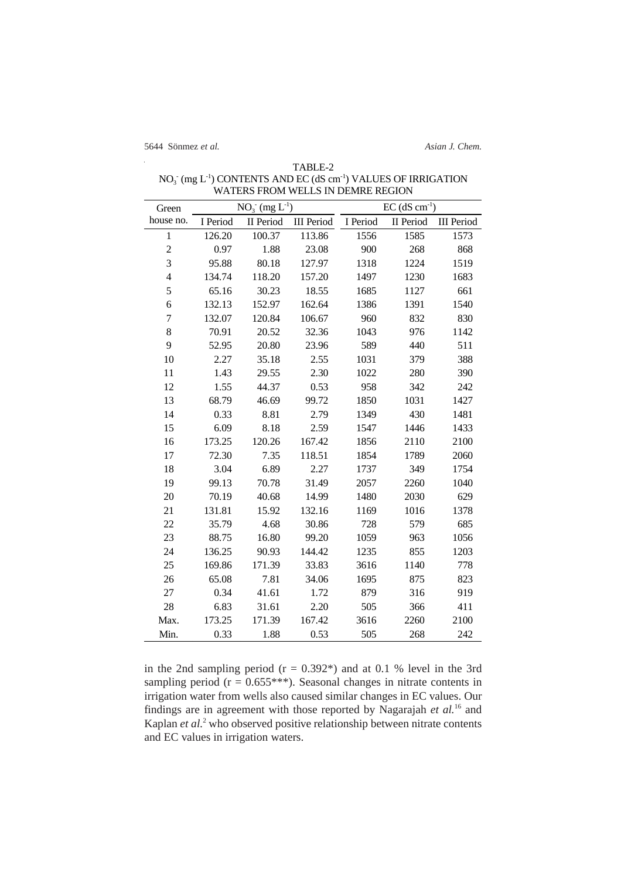| Green          |          | $NO_3^- (mg L^{-1})$ |                   | $EC$ (dS $cm^{-1}$ ) |           |                   |  |  |  |  |  |
|----------------|----------|----------------------|-------------------|----------------------|-----------|-------------------|--|--|--|--|--|
| house no.      | I Period | II Period            | <b>III</b> Period | I Period             | II Period | <b>III</b> Period |  |  |  |  |  |
| $\mathbf{1}$   | 126.20   | 100.37               | 113.86            | 1556                 | 1585      | 1573              |  |  |  |  |  |
| $\overline{c}$ | 0.97     | 1.88                 | 23.08             | 900                  | 268       | 868               |  |  |  |  |  |
| 3              | 95.88    | 80.18                | 127.97            | 1318                 | 1224      | 1519              |  |  |  |  |  |
| $\overline{4}$ | 134.74   | 118.20               | 157.20            | 1497                 | 1230      | 1683              |  |  |  |  |  |
| 5              | 65.16    | 30.23                | 18.55             | 1685                 | 1127      | 661               |  |  |  |  |  |
| 6              | 132.13   | 152.97               | 162.64            | 1386                 | 1391      | 1540              |  |  |  |  |  |
| $\overline{7}$ | 132.07   | 120.84               | 106.67            | 960                  | 832       | 830               |  |  |  |  |  |
| 8              | 70.91    | 20.52                | 32.36             | 1043                 | 976       | 1142              |  |  |  |  |  |
| 9              | 52.95    | 20.80                | 23.96             | 589                  | 440       | 511               |  |  |  |  |  |
| 10             | 2.27     | 35.18                | 2.55              | 1031                 | 379       | 388               |  |  |  |  |  |
| 11             | 1.43     | 29.55                | 2.30              | 1022                 | 280       | 390               |  |  |  |  |  |
| 12             | 1.55     | 44.37                | 0.53              | 958                  | 342       | 242               |  |  |  |  |  |
| 13             | 68.79    | 46.69                | 99.72             | 1850                 | 1031      | 1427              |  |  |  |  |  |
| 14             | 0.33     | 8.81                 | 2.79              | 1349                 | 430       | 1481              |  |  |  |  |  |
| 15             | 6.09     | 8.18                 | 2.59              | 1547                 | 1446      | 1433              |  |  |  |  |  |
| 16             | 173.25   | 120.26               | 167.42            | 1856                 | 2110      | 2100              |  |  |  |  |  |
| 17             | 72.30    | 7.35                 | 118.51            | 1854                 | 1789      | 2060              |  |  |  |  |  |
| 18             | 3.04     | 6.89                 | 2.27              | 1737                 | 349       | 1754              |  |  |  |  |  |
| 19             | 99.13    | 70.78                | 31.49             | 2057                 | 2260      | 1040              |  |  |  |  |  |
| 20             | 70.19    | 40.68                | 14.99             | 1480                 | 2030      | 629               |  |  |  |  |  |
| 21             | 131.81   | 15.92                | 132.16            | 1169                 | 1016      | 1378              |  |  |  |  |  |
| 22             | 35.79    | 4.68                 | 30.86             | 728                  | 579       | 685               |  |  |  |  |  |
| 23             | 88.75    | 16.80                | 99.20             | 1059                 | 963       | 1056              |  |  |  |  |  |
| 24             | 136.25   | 90.93                | 144.42            | 1235                 | 855       | 1203              |  |  |  |  |  |
| 25             | 169.86   | 171.39               | 33.83             | 3616                 | 1140      | 778               |  |  |  |  |  |
| 26             | 65.08    | 7.81                 | 34.06             | 1695                 | 875       | 823               |  |  |  |  |  |
| 27             | 0.34     | 41.61                | 1.72              | 879                  | 316       | 919               |  |  |  |  |  |
| 28             | 6.83     | 31.61                | 2.20              | 505                  | 366       | 411               |  |  |  |  |  |
| Max.           | 173.25   | 171.39               | 167.42            | 3616                 | 2260      | 2100              |  |  |  |  |  |
| Min.           | 0.33     | 1.88                 | 0.53              | 505                  | 268       | 242               |  |  |  |  |  |

TABLE-2 NO<sub>3</sub> (mg L<sup>-1</sup>) CONTENTS AND EC (dS cm<sup>-1</sup>) VALUES OF IRRIGATION WATERS FROM WELLS IN DEMRE REGION

in the 2nd sampling period  $(r = 0.392*)$  and at 0.1 % level in the 3rd sampling period  $(r = 0.655***)$ . Seasonal changes in nitrate contents in irrigation water from wells also caused similar changes in EC values. Our findings are in agreement with those reported by Nagarajah *et al.*16 and Kaplan et al.<sup>2</sup> who observed positive relationship between nitrate contents and EC values in irrigation waters.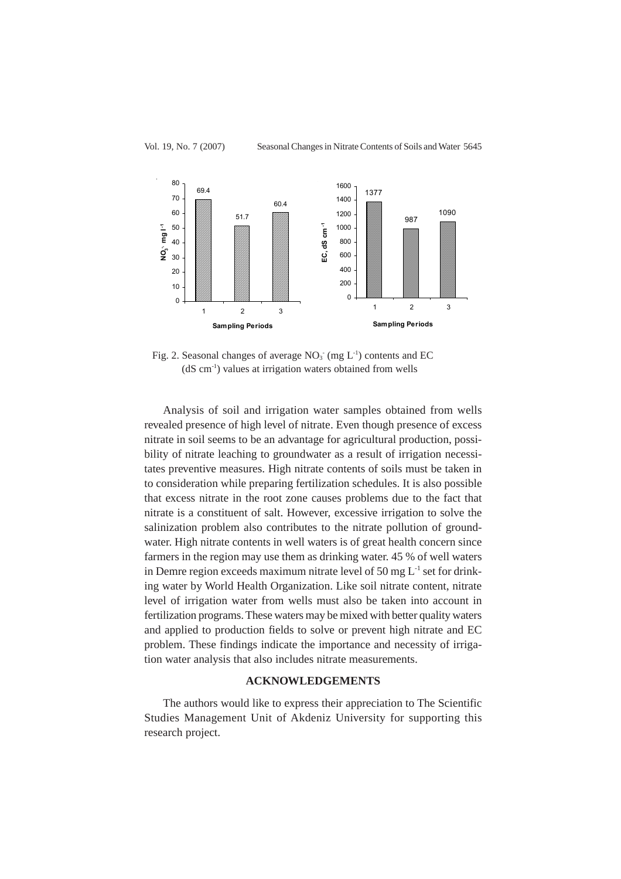



Fig. 2. Seasonal changes of average  $NO<sub>3</sub>$  (mg  $L<sup>-1</sup>$ ) contents and EC  $(dS \, cm<sup>-1</sup>)$  values at irrigation waters obtained from wells

Analysis of soil and irrigation water samples obtained from wells revealed presence of high level of nitrate. Even though presence of excess nitrate in soil seems to be an advantage for agricultural production, possibility of nitrate leaching to groundwater as a result of irrigation necessitates preventive measures. High nitrate contents of soils must be taken in to consideration while preparing fertilization schedules. It is also possible that excess nitrate in the root zone causes problems due to the fact that nitrate is a constituent of salt. However, excessive irrigation to solve the salinization problem also contributes to the nitrate pollution of groundwater. High nitrate contents in well waters is of great health concern since farmers in the region may use them as drinking water. 45 % of well waters in Demre region exceeds maximum nitrate level of 50 mg  $L^{-1}$  set for drinking water by World Health Organization. Like soil nitrate content, nitrate level of irrigation water from wells must also be taken into account in fertilization programs. These waters may be mixed with better quality waters and applied to production fields to solve or prevent high nitrate and EC problem. These findings indicate the importance and necessity of irrigation water analysis that also includes nitrate measurements.

## **ACKNOWLEDGEMENTS**

The authors would like to express their appreciation to The Scientific Studies Management Unit of Akdeniz University for supporting this research project.